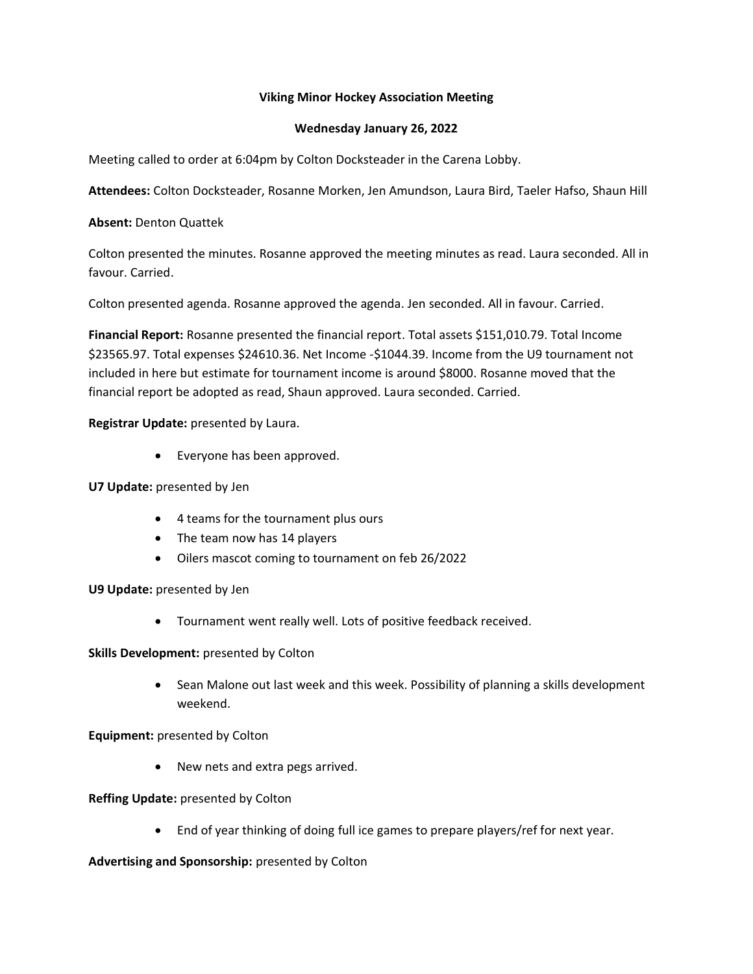## **Viking Minor Hockey Association Meeting**

## **Wednesday January 26, 2022**

Meeting called to order at 6:04pm by Colton Docksteader in the Carena Lobby.

**Attendees:** Colton Docksteader, Rosanne Morken, Jen Amundson, Laura Bird, Taeler Hafso, Shaun Hill

## **Absent:** Denton Quattek

Colton presented the minutes. Rosanne approved the meeting minutes as read. Laura seconded. All in favour. Carried.

Colton presented agenda. Rosanne approved the agenda. Jen seconded. All in favour. Carried.

**Financial Report:** Rosanne presented the financial report. Total assets \$151,010.79. Total Income \$23565.97. Total expenses \$24610.36. Net Income -\$1044.39. Income from the U9 tournament not included in here but estimate for tournament income is around \$8000. Rosanne moved that the financial report be adopted as read, Shaun approved. Laura seconded. Carried.

**Registrar Update:** presented by Laura.

• Everyone has been approved.

### **U7 Update:** presented by Jen

- 4 teams for the tournament plus ours
- The team now has 14 players
- Oilers mascot coming to tournament on feb 26/2022

**U9 Update:** presented by Jen

• Tournament went really well. Lots of positive feedback received.

### **Skills Development:** presented by Colton

• Sean Malone out last week and this week. Possibility of planning a skills development weekend.

**Equipment:** presented by Colton

• New nets and extra pegs arrived.

### **Reffing Update:** presented by Colton

• End of year thinking of doing full ice games to prepare players/ref for next year.

### **Advertising and Sponsorship:** presented by Colton